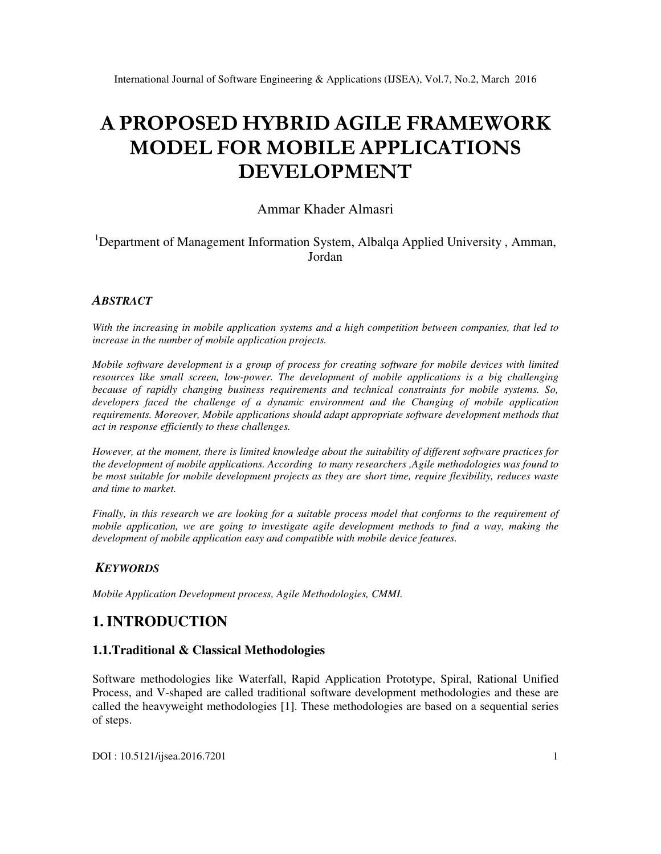# **A PROPOSED HYBRID AGILE FRAMEWORK MODEL FOR MOBILE APPLICATIONS DEVELOPMENT**

## Ammar Khader Almasri

## <sup>1</sup>Department of Management Information System, Albalqa Applied University, Amman, Jordan

#### *ABSTRACT*

*With the increasing in mobile application systems and a high competition between companies, that led to increase in the number of mobile application projects.* 

*Mobile software development is a group of process for creating software for mobile devices with limited resources like small screen, low-power. The development of mobile applications is a big challenging because of rapidly changing business requirements and technical constraints for mobile systems. So, developers faced the challenge of a dynamic environment and the Changing of mobile application requirements. Moreover, Mobile applications should adapt appropriate software development methods that act in response efficiently to these challenges.* 

*However, at the moment, there is limited knowledge about the suitability of different software practices for the development of mobile applications. According to many researchers ,Agile methodologies was found to be most suitable for mobile development projects as they are short time, require flexibility, reduces waste and time to market.* 

*Finally, in this research we are looking for a suitable process model that conforms to the requirement of mobile application, we are going to investigate agile development methods to find a way, making the development of mobile application easy and compatible with mobile device features.* 

## *KEYWORDS*

*Mobile Application Development process, Agile Methodologies, CMMI.* 

# **1. INTRODUCTION**

#### **1.1.Traditional & Classical Methodologies**

Software methodologies like Waterfall, Rapid Application Prototype, Spiral, Rational Unified Process, and V-shaped are called traditional software development methodologies and these are called the heavyweight methodologies [1]. These methodologies are based on a sequential series of steps.

DOI : 10.5121/ijsea.2016.7201 1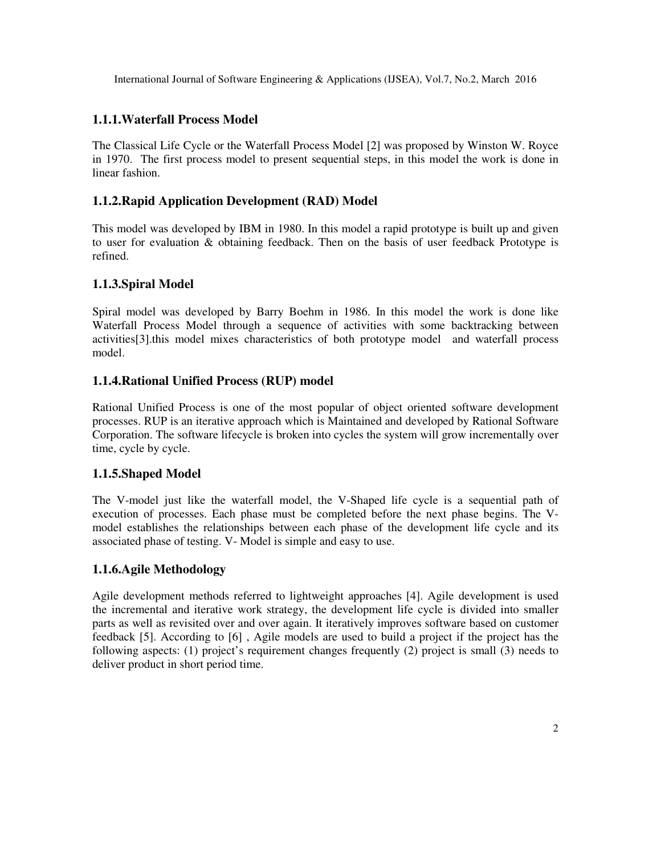#### **1.1.1.Waterfall Process Model**

The Classical Life Cycle or the Waterfall Process Model [2] was proposed by Winston W. Royce in 1970. The first process model to present sequential steps, in this model the work is done in linear fashion.

### **1.1.2.Rapid Application Development (RAD) Model**

This model was developed by IBM in 1980. In this model a rapid prototype is built up and given to user for evaluation & obtaining feedback. Then on the basis of user feedback Prototype is refined.

#### **1.1.3.Spiral Model**

Spiral model was developed by Barry Boehm in 1986. In this model the work is done like Waterfall Process Model through a sequence of activities with some backtracking between activities[3].this model mixes characteristics of both prototype model and waterfall process model.

## **1.1.4.Rational Unified Process (RUP) model**

Rational Unified Process is one of the most popular of object oriented software development processes. RUP is an iterative approach which is Maintained and developed by Rational Software Corporation. The software lifecycle is broken into cycles the system will grow incrementally over time, cycle by cycle.

#### **1.1.5.Shaped Model**

The V-model just like the waterfall model, the V-Shaped life cycle is a sequential path of execution of processes. Each phase must be completed before the next phase begins. The Vmodel establishes the relationships between each phase of the development life cycle and its associated phase of testing. V- Model is simple and easy to use.

## **1.1.6.Agile Methodology**

Agile development methods referred to lightweight approaches [4]. Agile development is used the incremental and iterative work strategy, the development life cycle is divided into smaller parts as well as revisited over and over again. It iteratively improves software based on customer feedback [5]. According to [6] , Agile models are used to build a project if the project has the following aspects: (1) project's requirement changes frequently (2) project is small (3) needs to deliver product in short period time.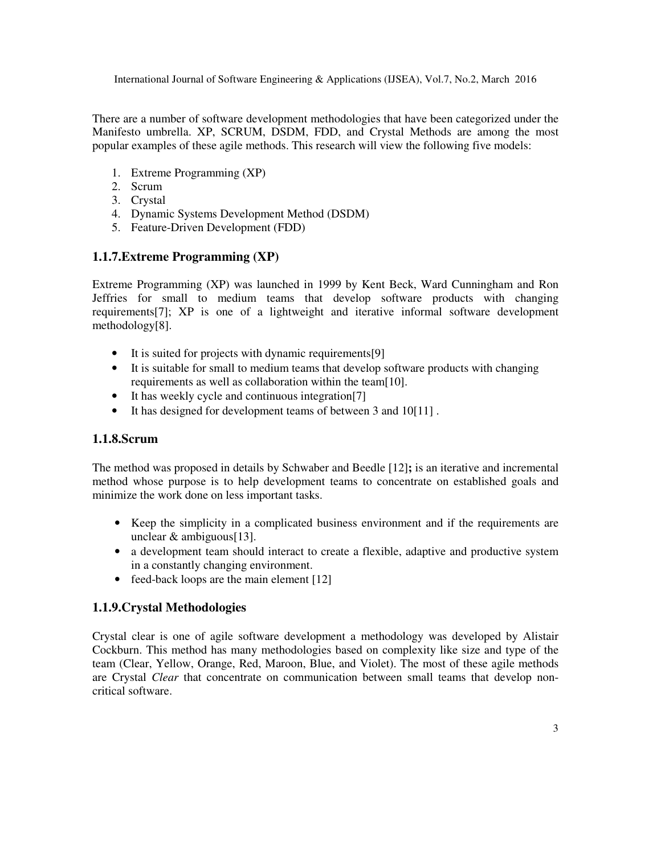There are a number of software development methodologies that have been categorized under the Manifesto umbrella. XP, SCRUM, DSDM, FDD, and Crystal Methods are among the most popular examples of these agile methods. This research will view the following five models:

- 1. Extreme Programming (XP)
- 2. Scrum
- 3. Crystal
- 4. Dynamic Systems Development Method (DSDM)
- 5. Feature-Driven Development (FDD)

#### **1.1.7.Extreme Programming (XP)**

Extreme Programming (XP) was launched in 1999 by Kent Beck, Ward Cunningham and Ron Jeffries for small to medium teams that develop software products with changing requirements[7]; XP is one of a lightweight and iterative informal software development methodology[8].

- It is suited for projects with dynamic requirements[9]
- It is suitable for small to medium teams that develop software products with changing requirements as well as collaboration within the team[10].
- It has weekly cycle and continuous integration[7]
- It has designed for development teams of between 3 and 10[11].

#### **1.1.8.Scrum**

The method was proposed in details by Schwaber and Beedle [12]**;** is an iterative and incremental method whose purpose is to help development teams to concentrate on established goals and minimize the work done on less important tasks.

- Keep the simplicity in a complicated business environment and if the requirements are unclear & ambiguous[13].
- a development team should interact to create a flexible, adaptive and productive system in a constantly changing environment.
- feed-back loops are the main element [12]

#### **1.1.9.Crystal Methodologies**

Crystal clear is one of agile software development a methodology was developed by Alistair Cockburn. This method has many methodologies based on complexity like size and type of the team (Clear, Yellow, Orange, Red, Maroon, Blue, and Violet). The most of these agile methods are Crystal *Clear* that concentrate on communication between small teams that develop noncritical software.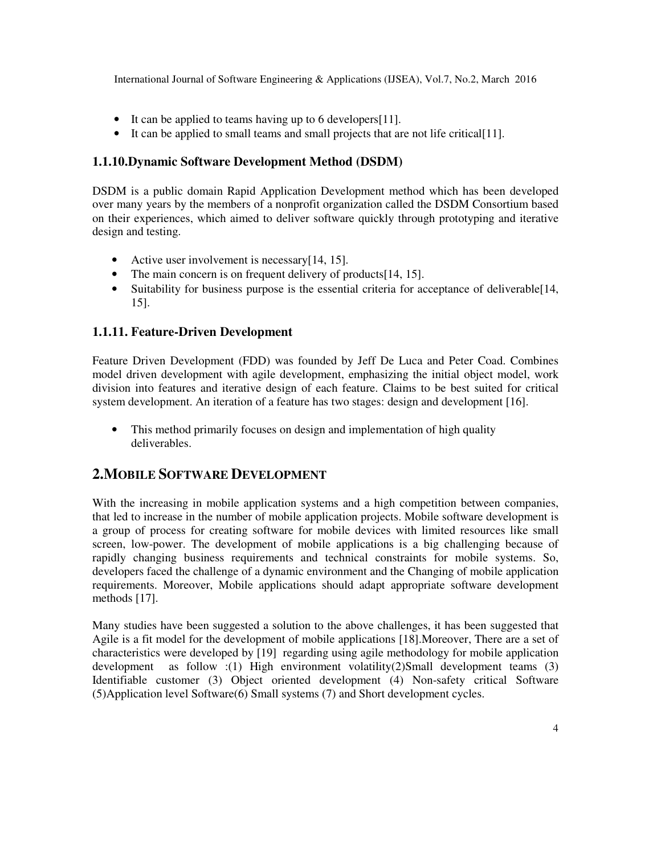- It can be applied to teams having up to 6 developers [11].
- It can be applied to small teams and small projects that are not life critical[11].

### **1.1.10.Dynamic Software Development Method (DSDM)**

DSDM is a public domain Rapid Application Development method which has been developed over many years by the members of a nonprofit organization called the DSDM Consortium based on their experiences, which aimed to deliver software quickly through prototyping and iterative design and testing.

- Active user involvement is necessary[14, 15].
- The main concern is on frequent delivery of products [14, 15].
- Suitability for business purpose is the essential criteria for acceptance of deliverable[14, 15].

## **1.1.11. Feature-Driven Development**

Feature Driven Development (FDD) was founded by Jeff De Luca and Peter Coad. Combines model driven development with agile development, emphasizing the initial object model, work division into features and iterative design of each feature. Claims to be best suited for critical system development. An iteration of a feature has two stages: design and development [16].

• This method primarily focuses on design and implementation of high quality deliverables.

# **2.MOBILE SOFTWARE DEVELOPMENT**

With the increasing in mobile application systems and a high competition between companies, that led to increase in the number of mobile application projects. Mobile software development is a group of process for creating software for mobile devices with limited resources like small screen, low-power. The development of mobile applications is a big challenging because of rapidly changing business requirements and technical constraints for mobile systems. So, developers faced the challenge of a dynamic environment and the Changing of mobile application requirements. Moreover, Mobile applications should adapt appropriate software development methods [17].

Many studies have been suggested a solution to the above challenges, it has been suggested that Agile is a fit model for the development of mobile applications [18].Moreover, There are a set of characteristics were developed by [19] regarding using agile methodology for mobile application development as follow :(1) High environment volatility(2)Small development teams  $(3)$ Identifiable customer (3) Object oriented development (4) Non-safety critical Software (5)Application level Software(6) Small systems (7) and Short development cycles.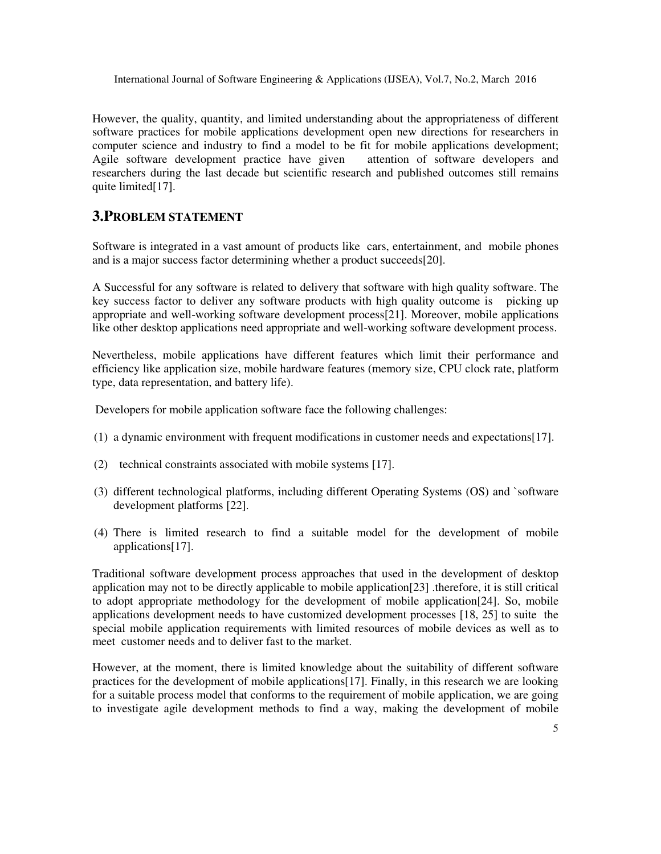However, the quality, quantity, and limited understanding about the appropriateness of different software practices for mobile applications development open new directions for researchers in computer science and industry to find a model to be fit for mobile applications development; Agile software development practice have given attention of software developers and researchers during the last decade but scientific research and published outcomes still remains quite limited[17].

## **3.PROBLEM STATEMENT**

Software is integrated in a vast amount of products like cars, entertainment, and mobile phones and is a major success factor determining whether a product succeeds[20].

A Successful for any software is related to delivery that software with high quality software. The key success factor to deliver any software products with high quality outcome is picking up appropriate and well-working software development process[21]. Moreover, mobile applications like other desktop applications need appropriate and well-working software development process.

Nevertheless, mobile applications have different features which limit their performance and efficiency like application size, mobile hardware features (memory size, CPU clock rate, platform type, data representation, and battery life).

Developers for mobile application software face the following challenges:

- (1) a dynamic environment with frequent modifications in customer needs and expectations[17].
- (2) technical constraints associated with mobile systems [17].
- (3) different technological platforms, including different Operating Systems (OS) and `software development platforms [22].
- (4) There is limited research to find a suitable model for the development of mobile applications[17].

Traditional software development process approaches that used in the development of desktop application may not to be directly applicable to mobile application[23] .therefore, it is still critical to adopt appropriate methodology for the development of mobile application[24]. So, mobile applications development needs to have customized development processes [18, 25] to suite the special mobile application requirements with limited resources of mobile devices as well as to meet customer needs and to deliver fast to the market.

However, at the moment, there is limited knowledge about the suitability of different software practices for the development of mobile applications[17]. Finally, in this research we are looking for a suitable process model that conforms to the requirement of mobile application, we are going to investigate agile development methods to find a way, making the development of mobile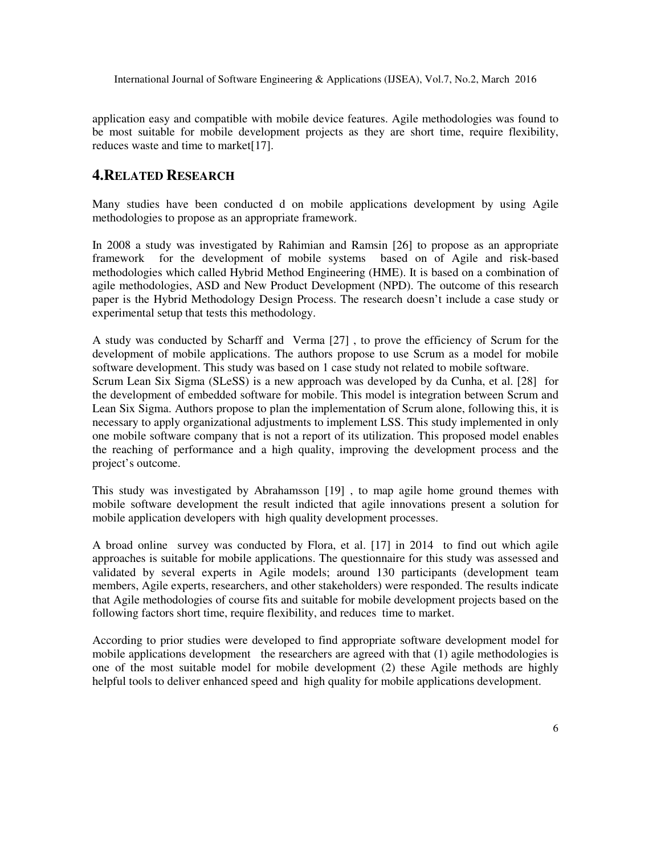application easy and compatible with mobile device features. Agile methodologies was found to be most suitable for mobile development projects as they are short time, require flexibility, reduces waste and time to market<sup>[17]</sup>.

#### **4.RELATED RESEARCH**

Many studies have been conducted d on mobile applications development by using Agile methodologies to propose as an appropriate framework.

In 2008 a study was investigated by Rahimian and Ramsin [26] to propose as an appropriate framework for the development of mobile systems based on of Agile and risk-based methodologies which called Hybrid Method Engineering (HME). It is based on a combination of agile methodologies, ASD and New Product Development (NPD). The outcome of this research paper is the Hybrid Methodology Design Process. The research doesn't include a case study or experimental setup that tests this methodology.

A study was conducted by Scharff and Verma [27] , to prove the efficiency of Scrum for the development of mobile applications. The authors propose to use Scrum as a model for mobile software development. This study was based on 1 case study not related to mobile software. Scrum Lean Six Sigma (SLeSS) is a new approach was developed by da Cunha, et al. [28] for the development of embedded software for mobile. This model is integration between Scrum and Lean Six Sigma. Authors propose to plan the implementation of Scrum alone, following this, it is necessary to apply organizational adjustments to implement LSS. This study implemented in only one mobile software company that is not a report of its utilization. This proposed model enables the reaching of performance and a high quality, improving the development process and the project's outcome.

This study was investigated by Abrahamsson [19] , to map agile home ground themes with mobile software development the result indicted that agile innovations present a solution for mobile application developers with high quality development processes.

A broad online survey was conducted by Flora, et al. [17] in 2014 to find out which agile approaches is suitable for mobile applications. The questionnaire for this study was assessed and validated by several experts in Agile models; around 130 participants (development team members, Agile experts, researchers, and other stakeholders) were responded. The results indicate that Agile methodologies of course fits and suitable for mobile development projects based on the following factors short time, require flexibility, and reduces time to market.

According to prior studies were developed to find appropriate software development model for mobile applications development the researchers are agreed with that (1) agile methodologies is one of the most suitable model for mobile development (2) these Agile methods are highly helpful tools to deliver enhanced speed and high quality for mobile applications development.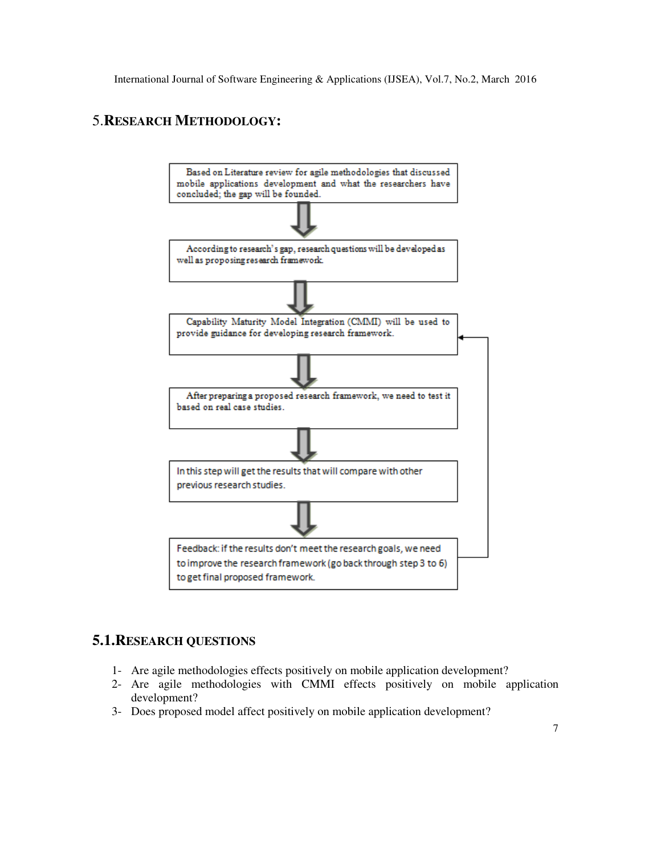# 5.**RESEARCH METHODOLOGY:**



## **5.1.RESEARCH QUESTIONS**

- 1- Are agile methodologies effects positively on mobile application development?
- 2- Are agile methodologies with CMMI effects positively on mobile application development?
- 3- Does proposed model affect positively on mobile application development?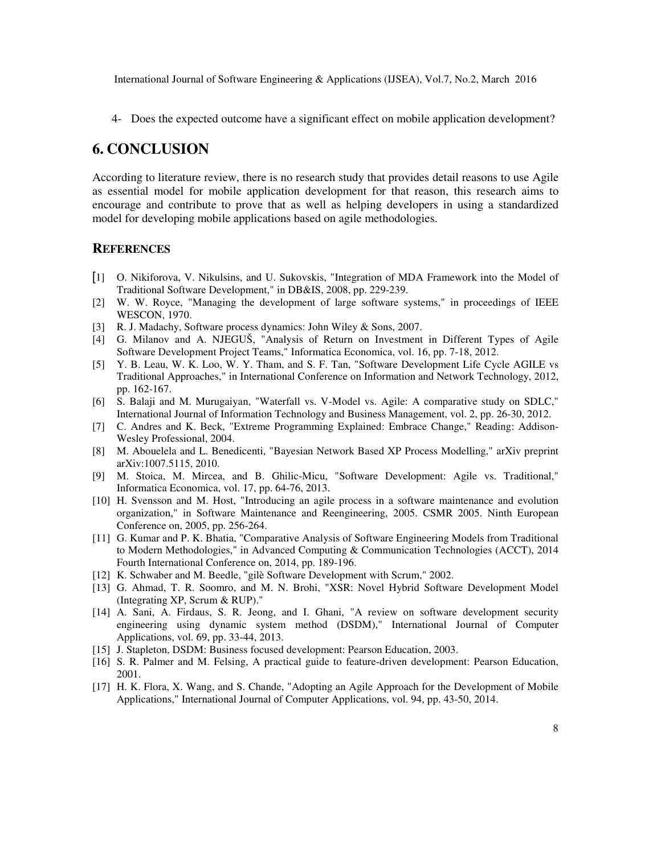4- Does the expected outcome have a significant effect on mobile application development?

## **6. CONCLUSION**

According to literature review, there is no research study that provides detail reasons to use Agile as essential model for mobile application development for that reason, this research aims to encourage and contribute to prove that as well as helping developers in using a standardized model for developing mobile applications based on agile methodologies.

#### **REFERENCES**

- [1] O. Nikiforova, V. Nikulsins, and U. Sukovskis, "Integration of MDA Framework into the Model of Traditional Software Development," in DB&IS, 2008, pp. 229-239.
- [2] W. W. Royce, "Managing the development of large software systems," in proceedings of IEEE WESCON, 1970.
- [3] R. J. Madachy, Software process dynamics: John Wiley & Sons, 2007.
- [4] G. Milanov and A. NJEGUŠ, "Analysis of Return on Investment in Different Types of Agile Software Development Project Teams," Informatica Economica, vol. 16, pp. 7-18, 2012.
- [5] Y. B. Leau, W. K. Loo, W. Y. Tham, and S. F. Tan, "Software Development Life Cycle AGILE vs Traditional Approaches," in International Conference on Information and Network Technology, 2012, pp. 162-167.
- [6] S. Balaji and M. Murugaiyan, "Waterfall vs. V-Model vs. Agile: A comparative study on SDLC," International Journal of Information Technology and Business Management, vol. 2, pp. 26-30, 2012.
- [7] C. Andres and K. Beck, "Extreme Programming Explained: Embrace Change," Reading: Addison-Wesley Professional, 2004.
- [8] M. Abouelela and L. Benedicenti, "Bayesian Network Based XP Process Modelling," arXiv preprint arXiv:1007.5115, 2010.
- [9] M. Stoica, M. Mircea, and B. Ghilic-Micu, "Software Development: Agile vs. Traditional," Informatica Economica, vol. 17, pp. 64-76, 2013.
- [10] H. Svensson and M. Host, "Introducing an agile process in a software maintenance and evolution organization," in Software Maintenance and Reengineering, 2005. CSMR 2005. Ninth European Conference on, 2005, pp. 256-264.
- [11] G. Kumar and P. K. Bhatia, "Comparative Analysis of Software Engineering Models from Traditional to Modern Methodologies," in Advanced Computing & Communication Technologies (ACCT), 2014 Fourth International Conference on, 2014, pp. 189-196.
- [12] K. Schwaber and M. Beedle, "gilè Software Development with Scrum," 2002.
- [13] G. Ahmad, T. R. Soomro, and M. N. Brohi, "XSR: Novel Hybrid Software Development Model (Integrating XP, Scrum & RUP)."
- [14] A. Sani, A. Firdaus, S. R. Jeong, and I. Ghani, "A review on software development security engineering using dynamic system method (DSDM)," International Journal of Computer Applications, vol. 69, pp. 33-44, 2013.
- [15] J. Stapleton, DSDM: Business focused development: Pearson Education, 2003.
- [16] S. R. Palmer and M. Felsing, A practical guide to feature-driven development: Pearson Education, 2001.
- [17] H. K. Flora, X. Wang, and S. Chande, "Adopting an Agile Approach for the Development of Mobile Applications," International Journal of Computer Applications, vol. 94, pp. 43-50, 2014.